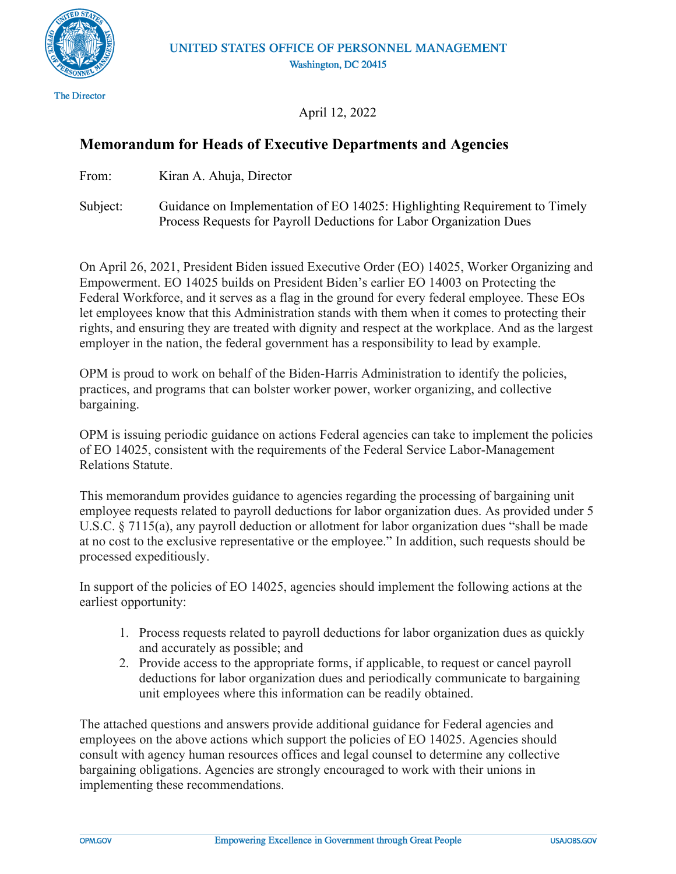

**The Director** 

April 12, 2022

# **Memorandum for Heads of Executive Departments and Agencies**

From: Kiran A. Ahuja, Director

Subject: Guidance on Implementation of EO 14025: Highlighting Requirement to Timely Process Requests for Payroll Deductions for Labor Organization Dues

On April 26, 2021, President Biden issued Executive Order (EO) 14025, Worker Organizing and Empowerment. EO 14025 builds on President Biden's earlier EO 14003 on Protecting the Federal Workforce, and it serves as a flag in the ground for every federal employee. These EOs let employees know that this Administration stands with them when it comes to protecting their rights, and ensuring they are treated with dignity and respect at the workplace. And as the largest employer in the nation, the federal government has a responsibility to lead by example.

OPM is proud to work on behalf of the Biden-Harris Administration to identify the policies, practices, and programs that can bolster worker power, worker organizing, and collective bargaining.

OPM is issuing periodic guidance on actions Federal agencies can take to implement the policies of EO 14025, consistent with the requirements of the Federal Service Labor-Management Relations Statute.

This memorandum provides guidance to agencies regarding the processing of bargaining unit employee requests related to payroll deductions for labor organization dues. As provided under 5 U.S.C. § 7115(a), any payroll deduction or allotment for labor organization dues "shall be made at no cost to the exclusive representative or the employee." In addition, such requests should be processed expeditiously.

In support of the policies of EO 14025, agencies should implement the following actions at the earliest opportunity:

- 1. Process requests related to payroll deductions for labor organization dues as quickly and accurately as possible; and
- 2. Provide access to the appropriate forms, if applicable, to request or cancel payroll deductions for labor organization dues and periodically communicate to bargaining unit employees where this information can be readily obtained.

The attached questions and answers provide additional guidance for Federal agencies and employees on the above actions which support the policies of EO 14025. Agencies should consult with agency human resources offices and legal counsel to determine any collective bargaining obligations. Agencies are strongly encouraged to work with their unions in implementing these recommendations.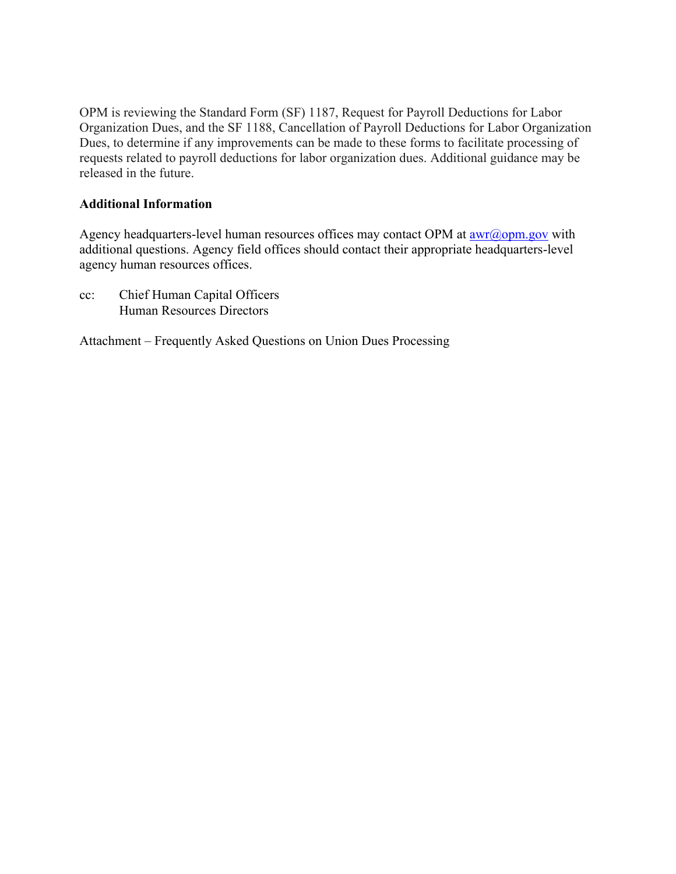OPM is reviewing the Standard Form (SF) 1187, Request for Payroll Deductions for Labor Organization Dues, and the SF 1188, Cancellation of Payroll Deductions for Labor Organization Dues, to determine if any improvements can be made to these forms to facilitate processing of requests related to payroll deductions for labor organization dues. Additional guidance may be released in the future.

#### **Additional Information**

Agency headquarters-level human resources offices may contact OPM at  $\frac{awr(\partial_{\theta}^{\theta})}{a}$  with additional questions. Agency field offices should contact their appropriate headquarters-level agency human resources offices.

cc: Chief Human Capital Officers Human Resources Directors

Attachment – Frequently Asked Questions on Union Dues Processing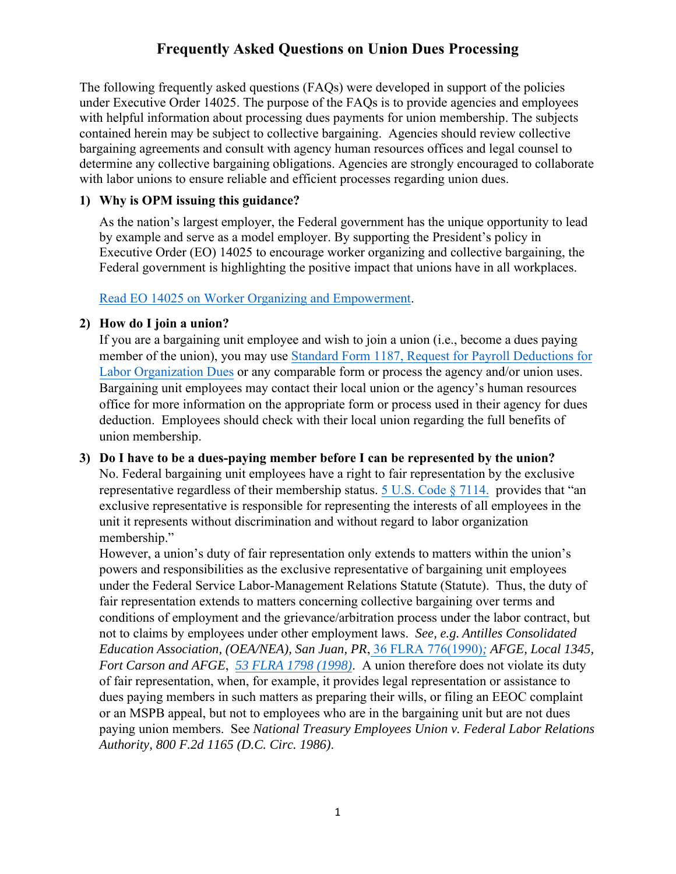## **Frequently Asked Questions on Union Dues Processing**

The following frequently asked questions (FAQs) were developed in support of the policies under Executive Order 14025. The purpose of the FAQs is to provide agencies and employees with helpful information about processing dues payments for union membership. The subjects contained herein may be subject to collective bargaining. Agencies should review collective bargaining agreements and consult with agency human resources offices and legal counsel to determine any collective bargaining obligations. Agencies are strongly encouraged to collaborate with labor unions to ensure reliable and efficient processes regarding union dues.

## **1) Why is OPM issuing this guidance?**

As the nation's largest employer, the Federal government has the unique opportunity to lead by example and serve as a model employer. By supporting the President's policy in Executive Order (EO) 14025 to encourage worker organizing and collective bargaining, the Federal government is highlighting the positive impact that unions have in all workplaces.

## [Read EO 14025 on Worker Organizing and Empowerment.](https://www.govinfo.gov/content/pkg/FR-2021-04-29/pdf/2021-09213.pdf)

## **2) How do I join a union?**

If you are a bargaining unit employee and wish to join a union (i.e., become a dues paying member of the union), you may use [Standard Form 1187, Request for Payroll Deductions for](https://www.opm.gov/forms/pdf_fill/sf1187.pdf)  [Labor Organization Dues](https://www.opm.gov/forms/pdf_fill/sf1187.pdf) or any comparable form or process the agency and/or union uses. Bargaining unit employees may contact their local union or the agency's human resources office for more information on the appropriate form or process used in their agency for dues deduction. Employees should check with their local union regarding the full benefits of union membership.

# **3) Do I have to be a dues-paying member before I can be represented by the union?** No. Federal bargaining unit employees have a right to fair representation by the exclusive representative regardless of their membership status.  $5 \text{ U.S. Code } \S$  7114. provides that "an

exclusive representative is responsible for representing the interests of all employees in the unit it represents without discrimination and without regard to labor organization membership."

However, a union's duty of fair representation only extends to matters within the union's powers and responsibilities as the exclusive representative of bargaining unit employees under the Federal Service Labor-Management Relations Statute (Statute). Thus, the duty of fair representation extends to matters concerning collective bargaining over terms and conditions of employment and the grievance/arbitration process under the labor contract, but not to claims by employees under other employment laws. *See, e.g. Antilles Consolidated Education Association, (OEA/NEA), San Juan, PR*[, 36 FLRA 776\(1990\)](https://www.flra.gov/decisions/v36/36-079.html)*; AFGE, Local 1345, Fort Carson and AFGE*, *[53 FLRA 1798 \(1998\)](https://www.flra.gov/decisions/v53/53-161.html)*. A union therefore does not violate its duty of fair representation, when, for example, it provides legal representation or assistance to dues paying members in such matters as preparing their wills, or filing an EEOC complaint or an MSPB appeal, but not to employees who are in the bargaining unit but are not dues paying union members. See *National Treasury Employees Union v. Federal Labor Relations Authority, 800 F.2d 1165 (D.C. Circ. 1986)*.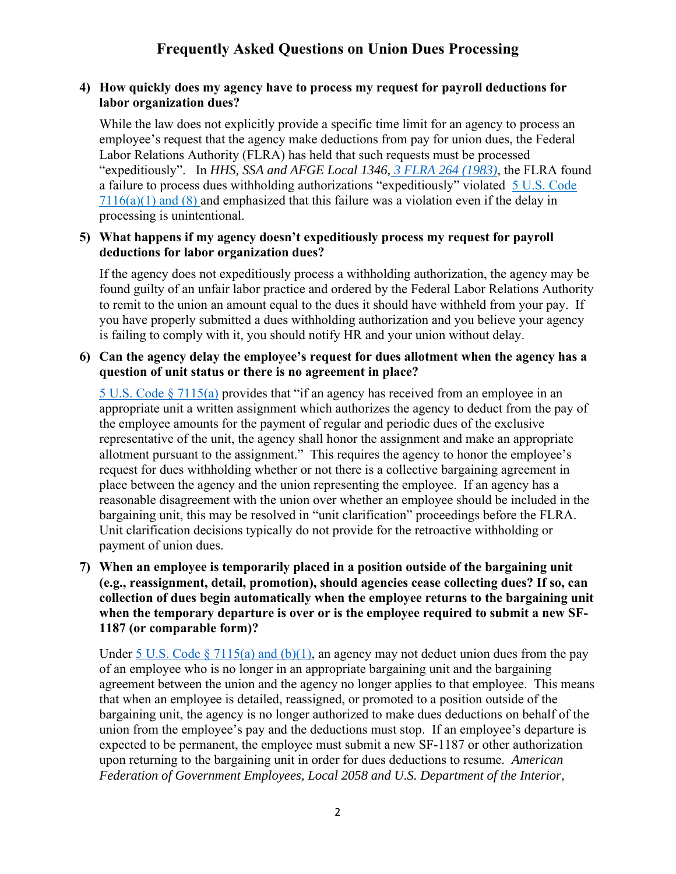# **Frequently Asked Questions on Union Dues Processing**

#### **4) How quickly does my agency have to process my request for payroll deductions for labor organization dues?**

While the law does not explicitly provide a specific time limit for an agency to process an employee's request that the agency make deductions from pay for union dues, the Federal Labor Relations Authority (FLRA) has held that such requests must be processed "expeditiously". In *HHS, SSA and AFGE Local 1346[, 3 FLRA 264 \(1983\)](https://www.flra.gov/decisions/v13/13-045.html)*, the FLRA found a failure to process dues withholding authorizations "expeditiously" violated [5 U.S. Code](https://www.flra.gov/resources-training/resources/statute-and-regulations/statute/statute-subchapter-ii-rights-and-5)   $7116(a)(1)$  and  $(8)$  and emphasized that this failure was a violation even if the delay in processing is unintentional.

#### **5) What happens if my agency doesn't expeditiously process my request for payroll deductions for labor organization dues?**

If the agency does not expeditiously process a withholding authorization, the agency may be found guilty of an unfair labor practice and ordered by the Federal Labor Relations Authority to remit to the union an amount equal to the dues it should have withheld from your pay. If you have properly submitted a dues withholding authorization and you believe your agency is failing to comply with it, you should notify HR and your union without delay.

#### **6) Can the agency delay the employee's request for dues allotment when the agency has a question of unit status or there is no agreement in place?**

[5 U.S. Code § 7115\(a\)](https://www.flra.gov/resources-training/resources/statute-and-regulations/statute/statute-subchapter-ii-rights-and-4) provides that "if an agency has received from an employee in an appropriate unit a written assignment which authorizes the agency to deduct from the pay of the employee amounts for the payment of regular and periodic dues of the exclusive representative of the unit, the agency shall honor the assignment and make an appropriate allotment pursuant to the assignment." This requires the agency to honor the employee's request for dues withholding whether or not there is a collective bargaining agreement in place between the agency and the union representing the employee. If an agency has a reasonable disagreement with the union over whether an employee should be included in the bargaining unit, this may be resolved in "unit clarification" proceedings before the FLRA. Unit clarification decisions typically do not provide for the retroactive withholding or payment of union dues.

#### **7) When an employee is temporarily placed in a position outside of the bargaining unit (e.g., reassignment, detail, promotion), should agencies cease collecting dues? If so, can collection of dues begin automatically when the employee returns to the bargaining unit when the temporary departure is over or is the employee required to submit a new SF-1187 (or comparable form)?**

Under  $5$  U.S. Code  $\frac{8}{9}$  7115(a) and (b)(1), an agency may not deduct union dues from the pay of an employee who is no longer in an appropriate bargaining unit and the bargaining agreement between the union and the agency no longer applies to that employee. This means that when an employee is detailed, reassigned, or promoted to a position outside of the bargaining unit, the agency is no longer authorized to make dues deductions on behalf of the union from the employee's pay and the deductions must stop. If an employee's departure is expected to be permanent, the employee must submit a new SF-1187 or other authorization upon returning to the bargaining unit in order for dues deductions to resume*. American Federation of Government Employees, Local 2058 and U.S. Department of the Interior,*